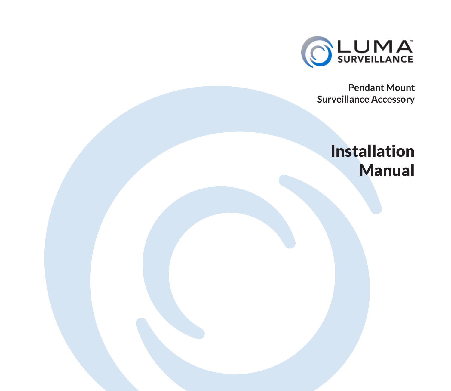

**Pendant Mount Surveillance Accessory** 

## Installation Manual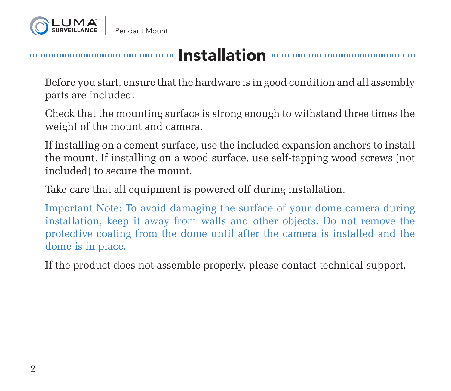

## Installation

Before you start, ensure that the hardware is in good condition and all assembly parts are included.

Check that the mounting surface is strong enough to withstand three times the weight of the mount and camera.

If installing on a cement surface, use the included expansion anchors to install the mount. If installing on a wood surface, use self-tapping wood screws (not included) to secure the mount.

Take care that all equipment is powered off during installation.

Important Note: To avoid damaging the surface of your dome camera during installation, keep it away from walls and other objects. Do not remove the protective coating from the dome until after the camera is installed and the dome is in place.

If the product does not assemble properly, please contact technical support.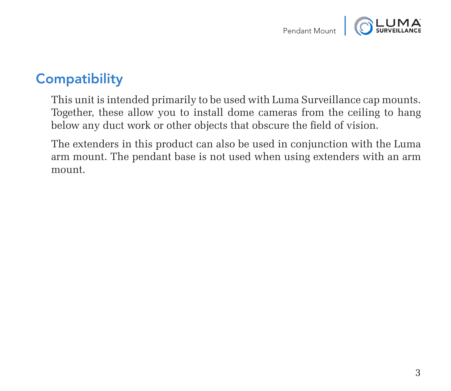

#### **Compatibility**

This unit is intended primarily to be used with Luma Surveillance cap mounts. Together, these allow you to install dome cameras from the ceiling to hang below any duct work or other objects that obscure the field of vision.

The extenders in this product can also be used in conjunction with the Luma arm mount. The pendant base is not used when using extenders with an arm mount.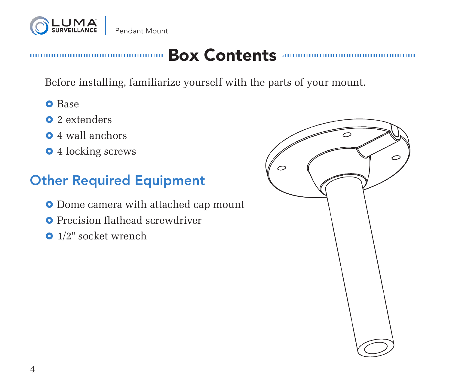

# Box Contents

Before installing, familiarize yourself with the parts of your mount.

- **O** Base
- **0** 2 extenders
- **•** 4 wall anchors
- 4 locking screws

#### Other Required Equipment

- **•** Dome camera with attached cap mount
- **O** Precision flathead screwdriver
- 1/2" socket wrench

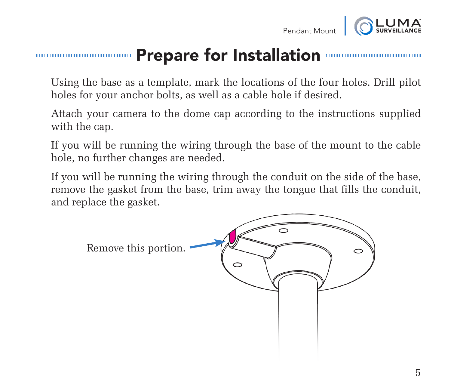



### Prepare for Installation

Using the base as a template, mark the locations of the four holes. Drill pilot holes for your anchor bolts, as well as a cable hole if desired.

Attach your camera to the dome cap according to the instructions supplied with the cap.

If you will be running the wiring through the base of the mount to the cable hole, no further changes are needed.

If you will be running the wiring through the conduit on the side of the base, remove the gasket from the base, trim away the tongue that fills the conduit, and replace the gasket.

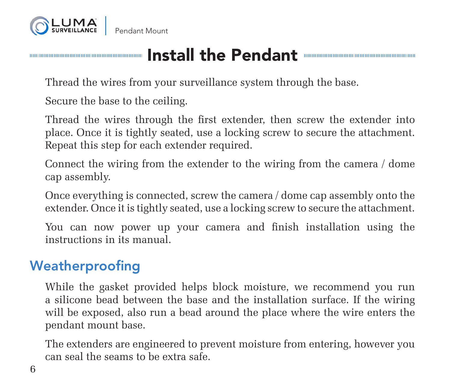

Pendant Mount

## Install the Pendant

Thread the wires from your surveillance system through the base.

Secure the base to the ceiling.

Thread the wires through the first extender, then screw the extender into place. Once it is tightly seated, use a locking screw to secure the attachment. Repeat this step for each extender required.

Connect the wiring from the extender to the wiring from the camera / dome cap assembly.

Once everything is connected, screw the camera / dome cap assembly onto the extender. Once it is tightly seated, use a locking screw to secure the attachment.

You can now power up your camera and finish installation using the instructions in its manual.

#### Weatherproofing

While the gasket provided helps block moisture, we recommend you run a silicone bead between the base and the installation surface. If the wiring will be exposed, also run a bead around the place where the wire enters the pendant mount base.

The extenders are engineered to prevent moisture from entering, however you can seal the seams to be extra safe.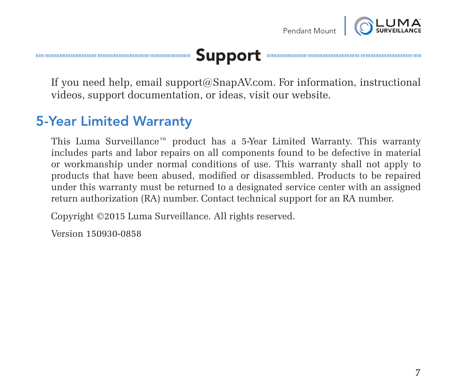

#### Support

If you need help, email support@SnapAV.com. For information, instructional videos, support documentation, or ideas, visit our website.

#### 5-Year Limited Warranty

This Luma Surveillance™ product has a 5-Year Limited Warranty. This warranty includes parts and labor repairs on all components found to be defective in material or workmanship under normal conditions of use. This warranty shall not apply to products that have been abused, modified or disassembled. Products to be repaired under this warranty must be returned to a designated service center with an assigned return authorization (RA) number. Contact technical support for an RA number.

Copyright ©2015 Luma Surveillance. All rights reserved.

Version 150930-0858